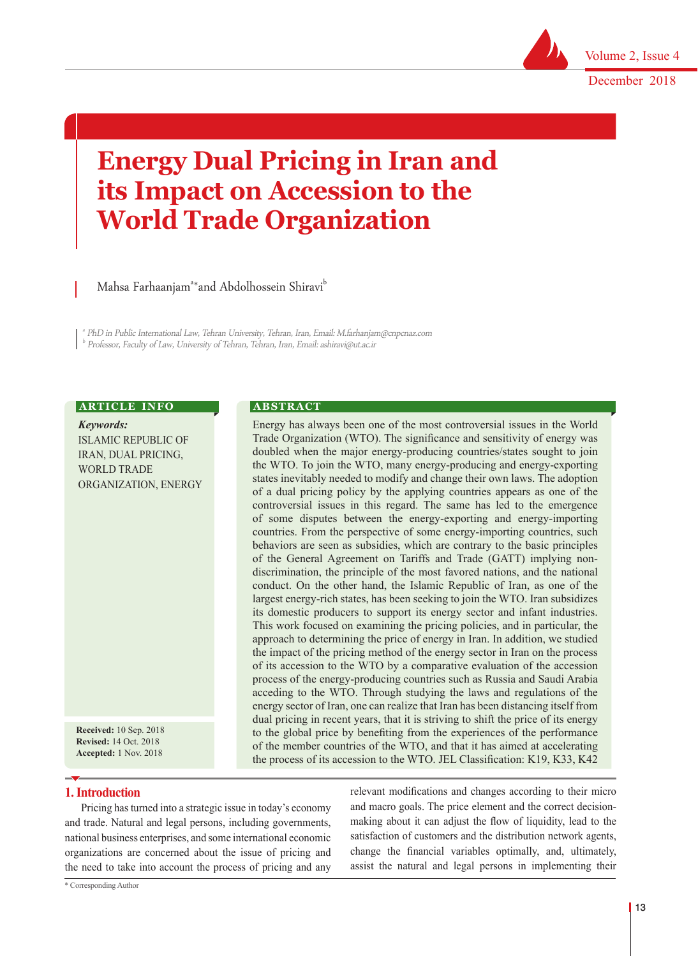

December 2018

# **Energy Dual Pricing in Iran and its Impact on Accession to the World Trade Organization**

Mahsa Farhaanjam<sup>a∗</sup>and Abdolhossein Shiravi<sup>b</sup>

a PhD in Public International Law, Tehran University, Tehran, Iran, Email: M.farhanjam@cnpcnaz.com  $^{\rm b}$  Professor, Faculty of Law, University of Tehran, Tehran, Iran, Email: ashiravi@ut.ac.ir

**A B S T R A C T** 

#### **ARTICLE INFO**

*Keywords:* ISLAMIC REPUBLIC OF IRAN, DUAL PRICING, WORLD TRADE ORGANIZATION, ENERGY

**Received:** 10 Sep. 2018 **Revised:** 14 Oct. 2018 **Accepted:** 1 Nov. 2018

## **1. Introduction**

Pricing has turned into a strategic issue in today's economy and trade. Natural and legal persons, including governments, national business enterprises, and some international economic organizations are concerned about the issue of pricing and the need to take into account the process of pricing and any

and macro goals. The price element and the correct decisionmaking about it can adjust the flow of liquidity, lead to the satisfaction of customers and the distribution network agents, change the financial variables optimally, and, ultimately, assist the natural and legal persons in implementing their

relevant modifications and changes according to their micro

Energy has always been one of the most controversial issues in the World Trade Organization (WTO). The significance and sensitivity of energy was doubled when the major energy-producing countries/states sought to join the WTO. To join the WTO, many energy-producing and energy-exporting states inevitably needed to modify and change their own laws. The adoption of a dual pricing policy by the applying countries appears as one of the controversial issues in this regard. The same has led to the emergence of some disputes between the energy-exporting and energy-importing countries. From the perspective of some energy-importing countries, such behaviors are seen as subsidies, which are contrary to the basic principles of the General Agreement on Tariffs and Trade (GATT) implying nondiscrimination, the principle of the most favored nations, and the national conduct. On the other hand, the Islamic Republic of Iran, as one of the largest energy-rich states, has been seeking to join the WTO. Iran subsidizes its domestic producers to support its energy sector and infant industries. This work focused on examining the pricing policies, and in particular, the approach to determining the price of energy in Iran. In addition, we studied the impact of the pricing method of the energy sector in Iran on the process of its accession to the WTO by a comparative evaluation of the accession process of the energy-producing countries such as Russia and Saudi Arabia acceding to the WTO. Through studying the laws and regulations of the energy sector of Iran, one can realize that Iran has been distancing itself from dual pricing in recent years, that it is striving to shift the price of its energy to the global price by benefiting from the experiences of the performance of the member countries of the WTO, and that it has aimed at accelerating the process of its accession to the WTO. JEL Classification: K19, K33, K42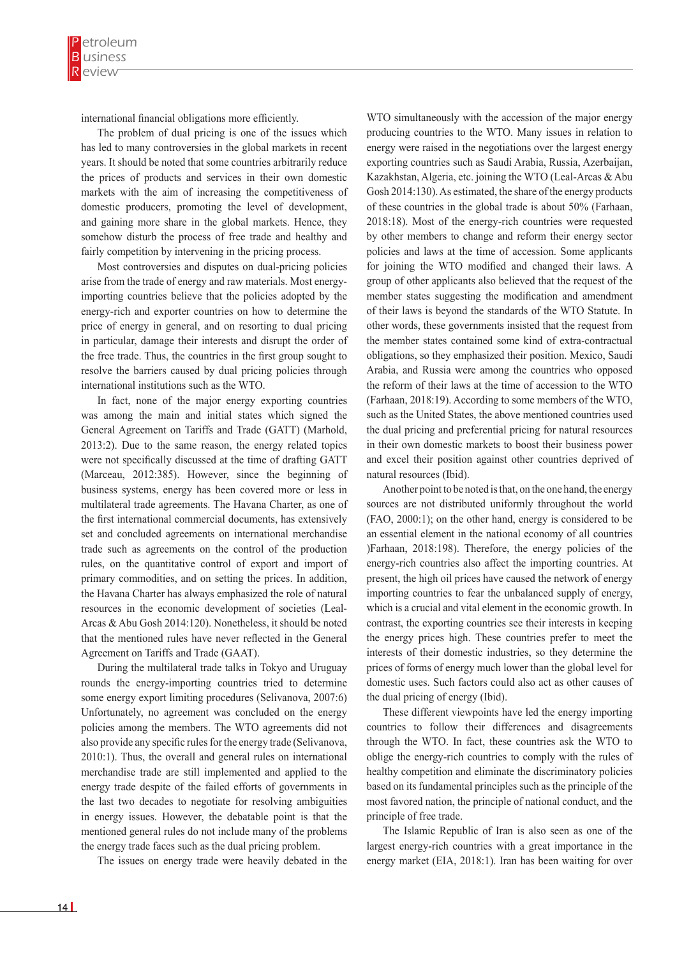international financial obligations more efficiently.

The problem of dual pricing is one of the issues which has led to many controversies in the global markets in recent years. It should be noted that some countries arbitrarily reduce the prices of products and services in their own domestic markets with the aim of increasing the competitiveness of domestic producers, promoting the level of development, and gaining more share in the global markets. Hence, they somehow disturb the process of free trade and healthy and fairly competition by intervening in the pricing process.

Most controversies and disputes on dual-pricing policies arise from the trade of energy and raw materials. Most energyimporting countries believe that the policies adopted by the energy-rich and exporter countries on how to determine the price of energy in general, and on resorting to dual pricing in particular, damage their interests and disrupt the order of the free trade. Thus, the countries in the first group sought to resolve the barriers caused by dual pricing policies through international institutions such as the WTO.

In fact, none of the major energy exporting countries was among the main and initial states which signed the General Agreement on Tariffs and Trade (GATT) (Marhold, 2013:2). Due to the same reason, the energy related topics were not specifically discussed at the time of drafting GATT (Marceau, 2012:385). However, since the beginning of business systems, energy has been covered more or less in multilateral trade agreements. The Havana Charter, as one of the first international commercial documents, has extensively set and concluded agreements on international merchandise trade such as agreements on the control of the production rules, on the quantitative control of export and import of primary commodities, and on setting the prices. In addition, the Havana Charter has always emphasized the role of natural resources in the economic development of societies (Leal-Arcas & Abu Gosh 2014:120). Nonetheless, it should be noted that the mentioned rules have never reflected in the General Agreement on Tariffs and Trade (GAAT).

During the multilateral trade talks in Tokyo and Uruguay rounds the energy-importing countries tried to determine some energy export limiting procedures (Selivanova, 2007:6) Unfortunately, no agreement was concluded on the energy policies among the members. The WTO agreements did not also provide any specific rules for the energy trade (Selivanova, 2010:1). Thus, the overall and general rules on international merchandise trade are still implemented and applied to the energy trade despite of the failed efforts of governments in the last two decades to negotiate for resolving ambiguities in energy issues. However, the debatable point is that the mentioned general rules do not include many of the problems the energy trade faces such as the dual pricing problem.

The issues on energy trade were heavily debated in the

WTO simultaneously with the accession of the major energy producing countries to the WTO. Many issues in relation to energy were raised in the negotiations over the largest energy exporting countries such as Saudi Arabia, Russia, Azerbaijan, Kazakhstan, Algeria, etc. joining the WTO (Leal-Arcas & Abu Gosh 2014:130). As estimated, the share of the energy products of these countries in the global trade is about 50% (Farhaan, 2018:18). Most of the energy-rich countries were requested by other members to change and reform their energy sector policies and laws at the time of accession. Some applicants for joining the WTO modified and changed their laws. A group of other applicants also believed that the request of the member states suggesting the modification and amendment of their laws is beyond the standards of the WTO Statute. In other words, these governments insisted that the request from the member states contained some kind of extra-contractual obligations, so they emphasized their position. Mexico, Saudi Arabia, and Russia were among the countries who opposed the reform of their laws at the time of accession to the WTO (Farhaan, 2018:19). According to some members of the WTO, such as the United States, the above mentioned countries used the dual pricing and preferential pricing for natural resources in their own domestic markets to boost their business power and excel their position against other countries deprived of natural resources (Ibid).

Another point to be noted is that, on the one hand, the energy sources are not distributed uniformly throughout the world (FAO, 2000:1); on the other hand, energy is considered to be an essential element in the national economy of all countries )Farhaan, 2018:198). Therefore, the energy policies of the energy-rich countries also affect the importing countries. At present, the high oil prices have caused the network of energy importing countries to fear the unbalanced supply of energy, which is a crucial and vital element in the economic growth. In contrast, the exporting countries see their interests in keeping the energy prices high. These countries prefer to meet the interests of their domestic industries, so they determine the prices of forms of energy much lower than the global level for domestic uses. Such factors could also act as other causes of the dual pricing of energy (Ibid).

These different viewpoints have led the energy importing countries to follow their differences and disagreements through the WTO. In fact, these countries ask the WTO to oblige the energy-rich countries to comply with the rules of healthy competition and eliminate the discriminatory policies based on its fundamental principles such as the principle of the most favored nation, the principle of national conduct, and the principle of free trade.

The Islamic Republic of Iran is also seen as one of the largest energy-rich countries with a great importance in the energy market (EIA, 2018:1). Iran has been waiting for over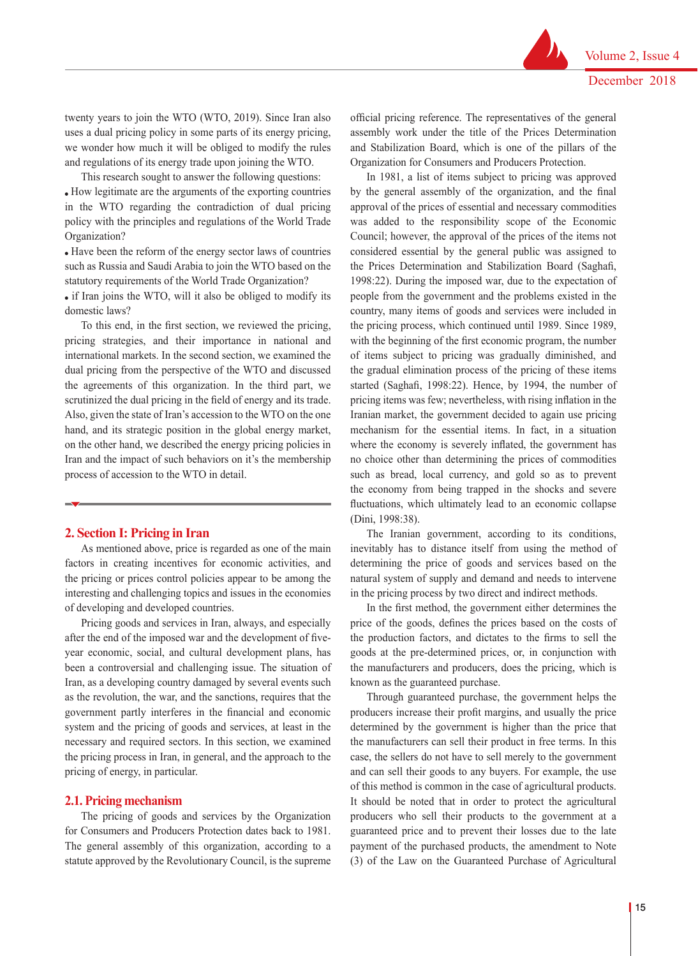twenty years to join the WTO (WTO, 2019). Since Iran also uses a dual pricing policy in some parts of its energy pricing, we wonder how much it will be obliged to modify the rules and regulations of its energy trade upon joining the WTO.

This research sought to answer the following questions: How legitimate are the arguments of the exporting countries in the WTO regarding the contradiction of dual pricing policy with the principles and regulations of the World Trade Organization?

 Have been the reform of the energy sector laws of countries such as Russia and Saudi Arabia to join the WTO based on the statutory requirements of the World Trade Organization?

 if Iran joins the WTO, will it also be obliged to modify its domestic laws?

To this end, in the first section, we reviewed the pricing, pricing strategies, and their importance in national and international markets. In the second section, we examined the dual pricing from the perspective of the WTO and discussed the agreements of this organization. In the third part, we scrutinized the dual pricing in the field of energy and its trade. Also, given the state of Iran's accession to the WTO on the one hand, and its strategic position in the global energy market, on the other hand, we described the energy pricing policies in Iran and the impact of such behaviors on it's the membership process of accession to the WTO in detail.

#### **2. Section I: Pricing in Iran**

As mentioned above, price is regarded as one of the main factors in creating incentives for economic activities, and the pricing or prices control policies appear to be among the interesting and challenging topics and issues in the economies of developing and developed countries.

Pricing goods and services in Iran, always, and especially after the end of the imposed war and the development of fiveyear economic, social, and cultural development plans, has been a controversial and challenging issue. The situation of Iran, as a developing country damaged by several events such as the revolution, the war, and the sanctions, requires that the government partly interferes in the financial and economic system and the pricing of goods and services, at least in the necessary and required sectors. In this section, we examined the pricing process in Iran, in general, and the approach to the pricing of energy, in particular.

#### **2.1. Pricing mechanism**

The pricing of goods and services by the Organization for Consumers and Producers Protection dates back to 1981. The general assembly of this organization, according to a statute approved by the Revolutionary Council, is the supreme official pricing reference. The representatives of the general assembly work under the title of the Prices Determination and Stabilization Board, which is one of the pillars of the Organization for Consumers and Producers Protection.

In 1981, a list of items subject to pricing was approved by the general assembly of the organization, and the final approval of the prices of essential and necessary commodities was added to the responsibility scope of the Economic Council; however, the approval of the prices of the items not considered essential by the general public was assigned to the Prices Determination and Stabilization Board (Saghafi, 1998:22). During the imposed war, due to the expectation of people from the government and the problems existed in the country, many items of goods and services were included in the pricing process, which continued until 1989. Since 1989, with the beginning of the first economic program, the number of items subject to pricing was gradually diminished, and the gradual elimination process of the pricing of these items started (Saghafi, 1998:22). Hence, by 1994, the number of pricing items was few; nevertheless, with rising inflation in the Iranian market, the government decided to again use pricing mechanism for the essential items. In fact, in a situation where the economy is severely inflated, the government has no choice other than determining the prices of commodities such as bread, local currency, and gold so as to prevent the economy from being trapped in the shocks and severe fluctuations, which ultimately lead to an economic collapse (Dini, 1998:38).

The Iranian government, according to its conditions, inevitably has to distance itself from using the method of determining the price of goods and services based on the natural system of supply and demand and needs to intervene in the pricing process by two direct and indirect methods.

In the first method, the government either determines the price of the goods, defines the prices based on the costs of the production factors, and dictates to the firms to sell the goods at the pre-determined prices, or, in conjunction with the manufacturers and producers, does the pricing, which is known as the guaranteed purchase.

Through guaranteed purchase, the government helps the producers increase their profit margins, and usually the price determined by the government is higher than the price that the manufacturers can sell their product in free terms. In this case, the sellers do not have to sell merely to the government and can sell their goods to any buyers. For example, the use of this method is common in the case of agricultural products. It should be noted that in order to protect the agricultural producers who sell their products to the government at a guaranteed price and to prevent their losses due to the late payment of the purchased products, the amendment to Note (3) of the Law on the Guaranteed Purchase of Agricultural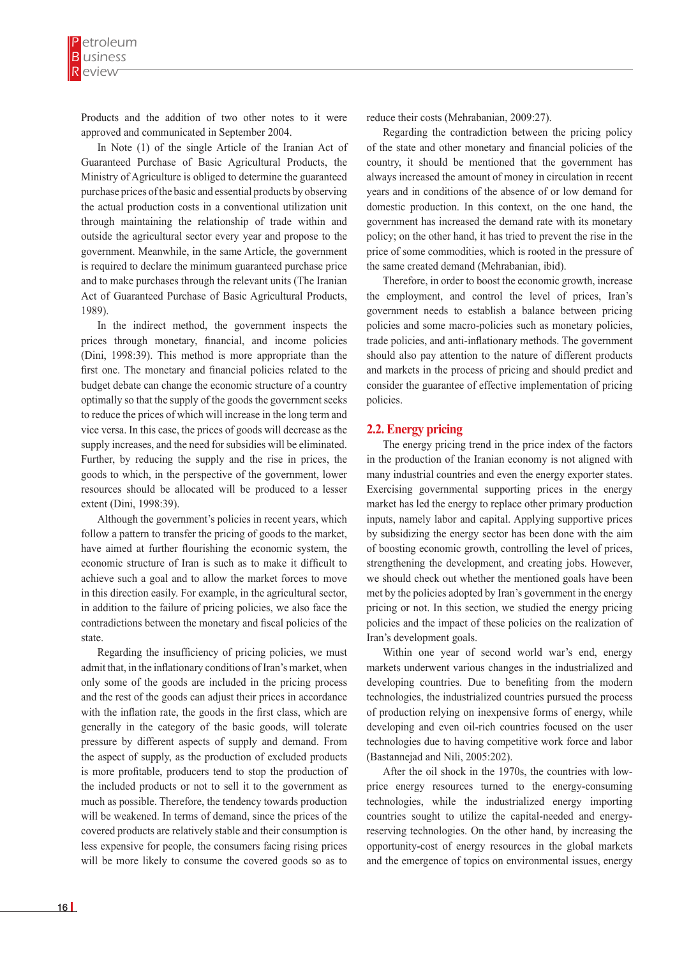Products and the addition of two other notes to it were approved and communicated in September 2004.

In Note (1) of the single Article of the Iranian Act of Guaranteed Purchase of Basic Agricultural Products, the Ministry of Agriculture is obliged to determine the guaranteed purchase prices of the basic and essential products by observing the actual production costs in a conventional utilization unit through maintaining the relationship of trade within and outside the agricultural sector every year and propose to the government. Meanwhile, in the same Article, the government is required to declare the minimum guaranteed purchase price and to make purchases through the relevant units (The Iranian Act of Guaranteed Purchase of Basic Agricultural Products, 1989).

In the indirect method, the government inspects the prices through monetary, financial, and income policies (Dini, 1998:39). This method is more appropriate than the first one. The monetary and financial policies related to the budget debate can change the economic structure of a country optimally so that the supply of the goods the government seeks to reduce the prices of which will increase in the long term and vice versa. In this case, the prices of goods will decrease as the supply increases, and the need for subsidies will be eliminated. Further, by reducing the supply and the rise in prices, the goods to which, in the perspective of the government, lower resources should be allocated will be produced to a lesser extent (Dini, 1998:39).

Although the government's policies in recent years, which follow a pattern to transfer the pricing of goods to the market, have aimed at further flourishing the economic system, the economic structure of Iran is such as to make it difficult to achieve such a goal and to allow the market forces to move in this direction easily. For example, in the agricultural sector, in addition to the failure of pricing policies, we also face the contradictions between the monetary and fiscal policies of the state.

Regarding the insufficiency of pricing policies, we must admit that, in the inflationary conditions of Iran's market, when only some of the goods are included in the pricing process and the rest of the goods can adjust their prices in accordance with the inflation rate, the goods in the first class, which are generally in the category of the basic goods, will tolerate pressure by different aspects of supply and demand. From the aspect of supply, as the production of excluded products is more profitable, producers tend to stop the production of the included products or not to sell it to the government as much as possible. Therefore, the tendency towards production will be weakened. In terms of demand, since the prices of the covered products are relatively stable and their consumption is less expensive for people, the consumers facing rising prices will be more likely to consume the covered goods so as to

reduce their costs (Mehrabanian, 2009:27).

Regarding the contradiction between the pricing policy of the state and other monetary and financial policies of the country, it should be mentioned that the government has always increased the amount of money in circulation in recent years and in conditions of the absence of or low demand for domestic production. In this context, on the one hand, the government has increased the demand rate with its monetary policy; on the other hand, it has tried to prevent the rise in the price of some commodities, which is rooted in the pressure of the same created demand (Mehrabanian, ibid).

Therefore, in order to boost the economic growth, increase the employment, and control the level of prices, Iran's government needs to establish a balance between pricing policies and some macro-policies such as monetary policies, trade policies, and anti-inflationary methods. The government should also pay attention to the nature of different products and markets in the process of pricing and should predict and consider the guarantee of effective implementation of pricing policies.

#### **2.2. Energy pricing**

The energy pricing trend in the price index of the factors in the production of the Iranian economy is not aligned with many industrial countries and even the energy exporter states. Exercising governmental supporting prices in the energy market has led the energy to replace other primary production inputs, namely labor and capital. Applying supportive prices by subsidizing the energy sector has been done with the aim of boosting economic growth, controlling the level of prices, strengthening the development, and creating jobs. However, we should check out whether the mentioned goals have been met by the policies adopted by Iran's government in the energy pricing or not. In this section, we studied the energy pricing policies and the impact of these policies on the realization of Iran's development goals.

Within one year of second world war's end, energy markets underwent various changes in the industrialized and developing countries. Due to benefiting from the modern technologies, the industrialized countries pursued the process of production relying on inexpensive forms of energy, while developing and even oil-rich countries focused on the user technologies due to having competitive work force and labor (Bastannejad and Nili, 2005:202).

After the oil shock in the 1970s, the countries with lowprice energy resources turned to the energy-consuming technologies, while the industrialized energy importing countries sought to utilize the capital-needed and energyreserving technologies. On the other hand, by increasing the opportunity-cost of energy resources in the global markets and the emergence of topics on environmental issues, energy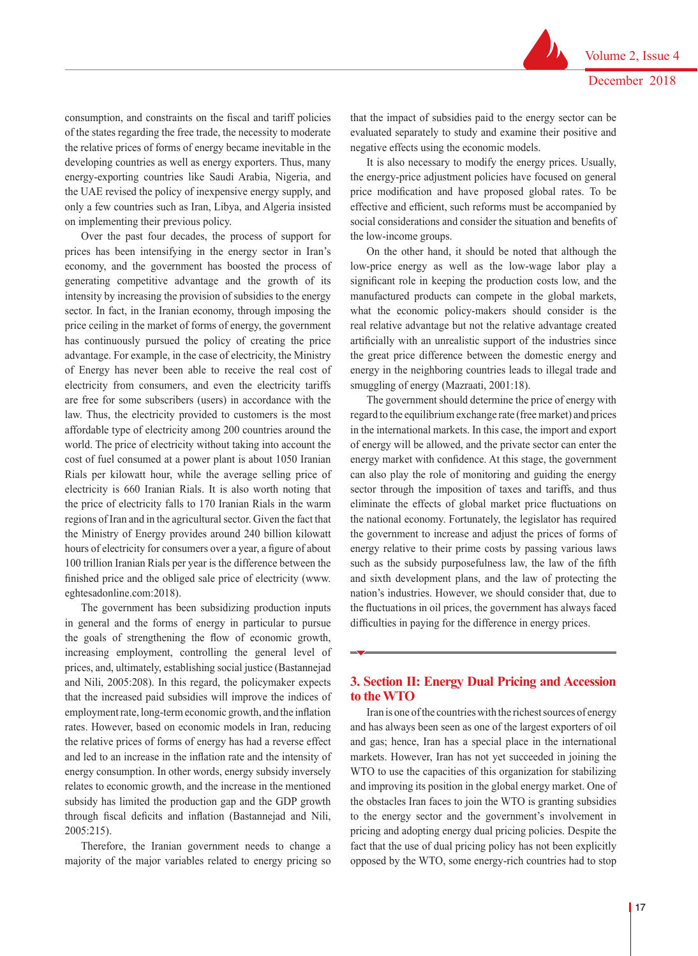consumption, and constraints on the fiscal and tariff policies of the states regarding the free trade, the necessity to moderate the relative prices of forms of energy became inevitable in the developing countries as well as energy exporters. Thus, many energy-exporting countries like Saudi Arabia, Nigeria, and the UAE revised the policy of inexpensive energy supply, and only a few countries such as Iran, Libya, and Algeria insisted on implementing their previous policy.

Over the past four decades, the process of support for prices has been intensifying in the energy sector in Iran's economy, and the government has boosted the process of generating competitive advantage and the growth of its intensity by increasing the provision of subsidies to the energy sector. In fact, in the Iranian economy, through imposing the price ceiling in the market of forms of energy, the government has continuously pursued the policy of creating the price advantage. For example, in the case of electricity, the Ministry of Energy has never been able to receive the real cost of electricity from consumers, and even the electricity tariffs are free for some subscribers (users) in accordance with the law. Thus, the electricity provided to customers is the most affordable type of electricity among 200 countries around the world. The price of electricity without taking into account the cost of fuel consumed at a power plant is about 1050 Iranian Rials per kilowatt hour, while the average selling price of electricity is 660 Iranian Rials. It is also worth noting that the price of electricity falls to 170 Iranian Rials in the warm regions of Iran and in the agricultural sector. Given the fact that the Ministry of Energy provides around 240 billion kilowatt hours of electricity for consumers over a year, a figure of about 100 trillion Iranian Rials per year is the difference between the finished price and the obliged sale price of electricity (www. eghtesadonline.com:2018).

The government has been subsidizing production inputs in general and the forms of energy in particular to pursue the goals of strengthening the flow of economic growth, increasing employment, controlling the general level of prices, and, ultimately, establishing social justice (Bastannejad and Nili, 2005:208). In this regard, the policymaker expects that the increased paid subsidies will improve the indices of employment rate, long-term economic growth, and the inflation rates. However, based on economic models in Iran, reducing the relative prices of forms of energy has had a reverse effect and led to an increase in the inflation rate and the intensity of energy consumption. In other words, energy subsidy inversely relates to economic growth, and the increase in the mentioned subsidy has limited the production gap and the GDP growth through fiscal deficits and inflation (Bastannejad and Nili, 2005:215).

Therefore, the Iranian government needs to change a majority of the major variables related to energy pricing so that the impact of subsidies paid to the energy sector can be evaluated separately to study and examine their positive and negative effects using the economic models.

It is also necessary to modify the energy prices. Usually, the energy-price adjustment policies have focused on general price modification and have proposed global rates. To be effective and efficient, such reforms must be accompanied by social considerations and consider the situation and benefits of the low-income groups.

On the other hand, it should be noted that although the low-price energy as well as the low-wage labor play a significant role in keeping the production costs low, and the manufactured products can compete in the global markets, what the economic policy-makers should consider is the real relative advantage but not the relative advantage created artificially with an unrealistic support of the industries since the great price difference between the domestic energy and energy in the neighboring countries leads to illegal trade and smuggling of energy (Mazraati, 2001:18).

The government should determine the price of energy with regard to the equilibrium exchange rate (free market) and prices in the international markets. In this case, the import and export of energy will be allowed, and the private sector can enter the energy market with confidence. At this stage, the government can also play the role of monitoring and guiding the energy sector through the imposition of taxes and tariffs, and thus eliminate the effects of global market price fluctuations on the national economy. Fortunately, the legislator has required the government to increase and adjust the prices of forms of energy relative to their prime costs by passing various laws such as the subsidy purposefulness law, the law of the fifth and sixth development plans, and the law of protecting the nation's industries. However, we should consider that, due to the fluctuations in oil prices, the government has always faced difficulties in paying for the difference in energy prices.

# **3. Section II: Energy Dual Pricing and Accession to the WTO**

Iran is one of the countries with the richest sources of energy and has always been seen as one of the largest exporters of oil and gas; hence, Iran has a special place in the international markets. However, Iran has not yet succeeded in joining the WTO to use the capacities of this organization for stabilizing and improving its position in the global energy market. One of the obstacles Iran faces to join the WTO is granting subsidies to the energy sector and the government's involvement in pricing and adopting energy dual pricing policies. Despite the fact that the use of dual pricing policy has not been explicitly opposed by the WTO, some energy-rich countries had to stop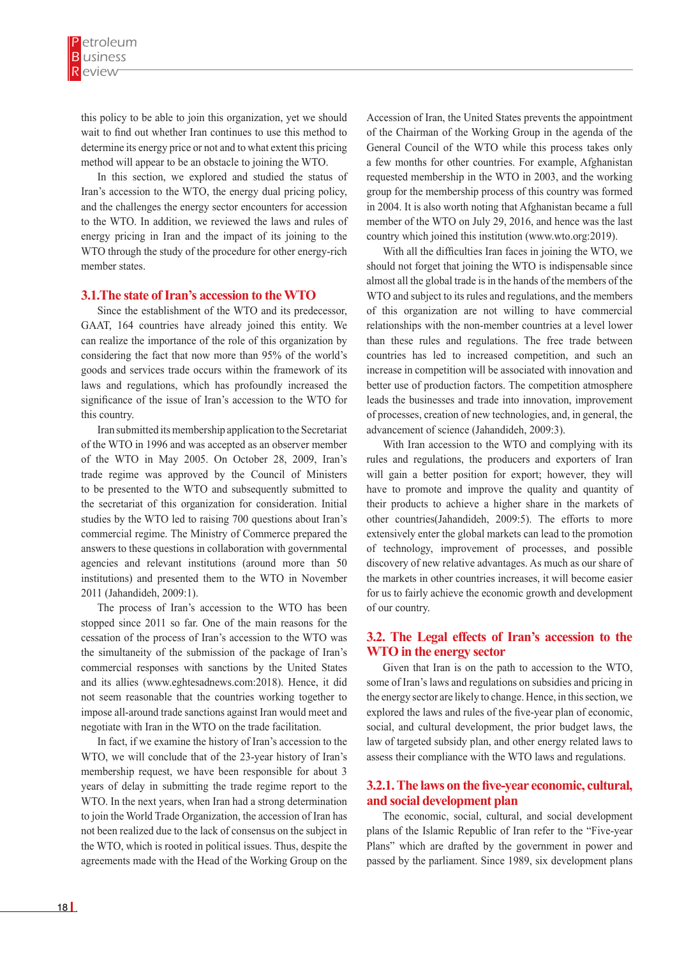this policy to be able to join this organization, yet we should wait to find out whether Iran continues to use this method to determine its energy price or not and to what extent this pricing method will appear to be an obstacle to joining the WTO.

In this section, we explored and studied the status of Iran's accession to the WTO, the energy dual pricing policy, and the challenges the energy sector encounters for accession to the WTO. In addition, we reviewed the laws and rules of energy pricing in Iran and the impact of its joining to the WTO through the study of the procedure for other energy-rich member states.

#### **3.1.The state of Iran's accession to the WTO**

Since the establishment of the WTO and its predecessor, GAAT, 164 countries have already joined this entity. We can realize the importance of the role of this organization by considering the fact that now more than 95% of the world's goods and services trade occurs within the framework of its laws and regulations, which has profoundly increased the significance of the issue of Iran's accession to the WTO for this country.

Iran submitted its membership application to the Secretariat of the WTO in 1996 and was accepted as an observer member of the WTO in May 2005. On October 28, 2009, Iran's trade regime was approved by the Council of Ministers to be presented to the WTO and subsequently submitted to the secretariat of this organization for consideration. Initial studies by the WTO led to raising 700 questions about Iran's commercial regime. The Ministry of Commerce prepared the answers to these questions in collaboration with governmental agencies and relevant institutions (around more than 50 institutions) and presented them to the WTO in November 2011 (Jahandideh, 2009:1).

The process of Iran's accession to the WTO has been stopped since 2011 so far. One of the main reasons for the cessation of the process of Iran's accession to the WTO was the simultaneity of the submission of the package of Iran's commercial responses with sanctions by the United States and its allies (www.eghtesadnews.com:2018). Hence, it did not seem reasonable that the countries working together to impose all-around trade sanctions against Iran would meet and negotiate with Iran in the WTO on the trade facilitation.

In fact, if we examine the history of Iran's accession to the WTO, we will conclude that of the 23-year history of Iran's membership request, we have been responsible for about 3 years of delay in submitting the trade regime report to the WTO. In the next years, when Iran had a strong determination to join the World Trade Organization, the accession of Iran has not been realized due to the lack of consensus on the subject in the WTO, which is rooted in political issues. Thus, despite the agreements made with the Head of the Working Group on the

Accession of Iran, the United States prevents the appointment of the Chairman of the Working Group in the agenda of the General Council of the WTO while this process takes only a few months for other countries. For example, Afghanistan requested membership in the WTO in 2003, and the working group for the membership process of this country was formed in 2004. It is also worth noting that Afghanistan became a full member of the WTO on July 29, 2016, and hence was the last country which joined this institution (www.wto.org:2019).

With all the difficulties Iran faces in joining the WTO, we should not forget that joining the WTO is indispensable since almost all the global trade is in the hands of the members of the WTO and subject to its rules and regulations, and the members of this organization are not willing to have commercial relationships with the non-member countries at a level lower than these rules and regulations. The free trade between countries has led to increased competition, and such an increase in competition will be associated with innovation and better use of production factors. The competition atmosphere leads the businesses and trade into innovation, improvement of processes, creation of new technologies, and, in general, the advancement of science (Jahandideh, 2009:3).

With Iran accession to the WTO and complying with its rules and regulations, the producers and exporters of Iran will gain a better position for export; however, they will have to promote and improve the quality and quantity of their products to achieve a higher share in the markets of other countries(Jahandideh, 2009:5). The efforts to more extensively enter the global markets can lead to the promotion of technology, improvement of processes, and possible discovery of new relative advantages. As much as our share of the markets in other countries increases, it will become easier for us to fairly achieve the economic growth and development of our country.

## **3.2. The Legal effects of Iran's accession to the WTO in the energy sector**

Given that Iran is on the path to accession to the WTO, some of Iran's laws and regulations on subsidies and pricing in the energy sector are likely to change. Hence, in this section, we explored the laws and rules of the five-year plan of economic, social, and cultural development, the prior budget laws, the law of targeted subsidy plan, and other energy related laws to assess their compliance with the WTO laws and regulations.

## **3.2.1. The laws on the five-year economic, cultural, and social development plan**

The economic, social, cultural, and social development plans of the Islamic Republic of Iran refer to the "Five-year Plans" which are drafted by the government in power and passed by the parliament. Since 1989, six development plans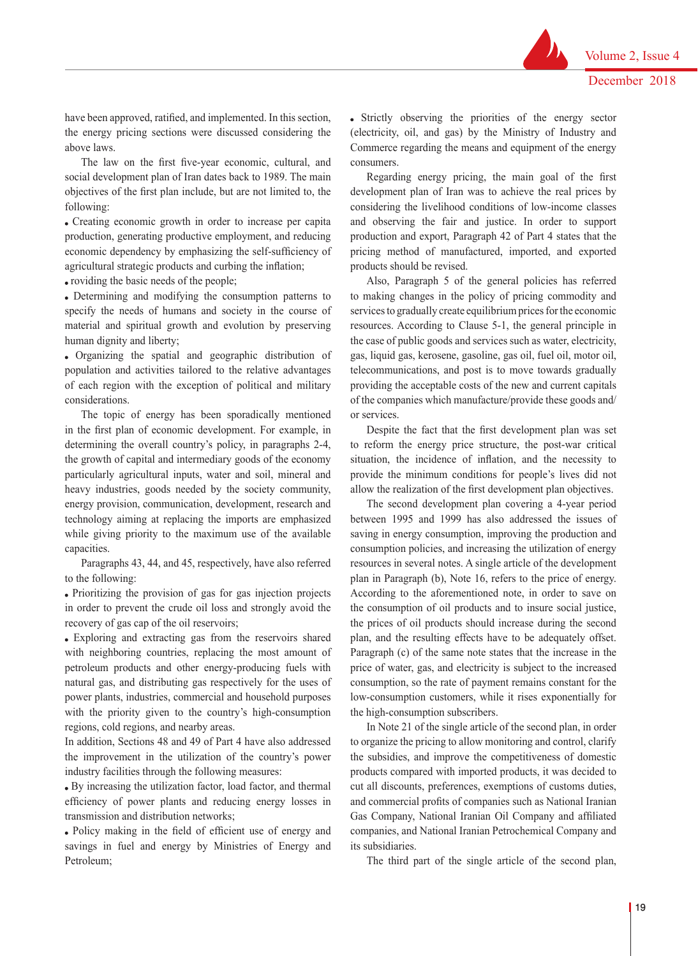have been approved, ratified, and implemented. In this section, the energy pricing sections were discussed considering the above laws.

The law on the first five-year economic, cultural, and social development plan of Iran dates back to 1989. The main objectives of the first plan include, but are not limited to, the following:

 Creating economic growth in order to increase per capita production, generating productive employment, and reducing economic dependency by emphasizing the self-sufficiency of agricultural strategic products and curbing the inflation;

• roviding the basic needs of the people;

 Determining and modifying the consumption patterns to specify the needs of humans and society in the course of material and spiritual growth and evolution by preserving human dignity and liberty;

 Organizing the spatial and geographic distribution of population and activities tailored to the relative advantages of each region with the exception of political and military considerations.

The topic of energy has been sporadically mentioned in the first plan of economic development. For example, in determining the overall country's policy, in paragraphs 2-4, the growth of capital and intermediary goods of the economy particularly agricultural inputs, water and soil, mineral and heavy industries, goods needed by the society community, energy provision, communication, development, research and technology aiming at replacing the imports are emphasized while giving priority to the maximum use of the available capacities.

Paragraphs 43, 44, and 45, respectively, have also referred to the following:

 Prioritizing the provision of gas for gas injection projects in order to prevent the crude oil loss and strongly avoid the recovery of gas cap of the oil reservoirs;

 Exploring and extracting gas from the reservoirs shared with neighboring countries, replacing the most amount of petroleum products and other energy-producing fuels with natural gas, and distributing gas respectively for the uses of power plants, industries, commercial and household purposes with the priority given to the country's high-consumption regions, cold regions, and nearby areas.

In addition, Sections 48 and 49 of Part 4 have also addressed the improvement in the utilization of the country's power industry facilities through the following measures:

 By increasing the utilization factor, load factor, and thermal efficiency of power plants and reducing energy losses in transmission and distribution networks;

 Policy making in the field of efficient use of energy and savings in fuel and energy by Ministries of Energy and Petroleum;

 Strictly observing the priorities of the energy sector (electricity, oil, and gas) by the Ministry of Industry and Commerce regarding the means and equipment of the energy consumers.

Regarding energy pricing, the main goal of the first development plan of Iran was to achieve the real prices by considering the livelihood conditions of low-income classes and observing the fair and justice. In order to support production and export, Paragraph 42 of Part 4 states that the pricing method of manufactured, imported, and exported products should be revised.

Also, Paragraph 5 of the general policies has referred to making changes in the policy of pricing commodity and services to gradually create equilibrium prices for the economic resources. According to Clause 5-1, the general principle in the case of public goods and services such as water, electricity, gas, liquid gas, kerosene, gasoline, gas oil, fuel oil, motor oil, telecommunications, and post is to move towards gradually providing the acceptable costs of the new and current capitals of the companies which manufacture/provide these goods and/ or services.

Despite the fact that the first development plan was set to reform the energy price structure, the post-war critical situation, the incidence of inflation, and the necessity to provide the minimum conditions for people's lives did not allow the realization of the first development plan objectives.

The second development plan covering a 4-year period between 1995 and 1999 has also addressed the issues of saving in energy consumption, improving the production and consumption policies, and increasing the utilization of energy resources in several notes. A single article of the development plan in Paragraph (b), Note 16, refers to the price of energy. According to the aforementioned note, in order to save on the consumption of oil products and to insure social justice, the prices of oil products should increase during the second plan, and the resulting effects have to be adequately offset. Paragraph (c) of the same note states that the increase in the price of water, gas, and electricity is subject to the increased consumption, so the rate of payment remains constant for the low-consumption customers, while it rises exponentially for the high-consumption subscribers.

In Note 21 of the single article of the second plan, in order to organize the pricing to allow monitoring and control, clarify the subsidies, and improve the competitiveness of domestic products compared with imported products, it was decided to cut all discounts, preferences, exemptions of customs duties, and commercial profits of companies such as National Iranian Gas Company, National Iranian Oil Company and affiliated companies, and National Iranian Petrochemical Company and its subsidiaries.

The third part of the single article of the second plan,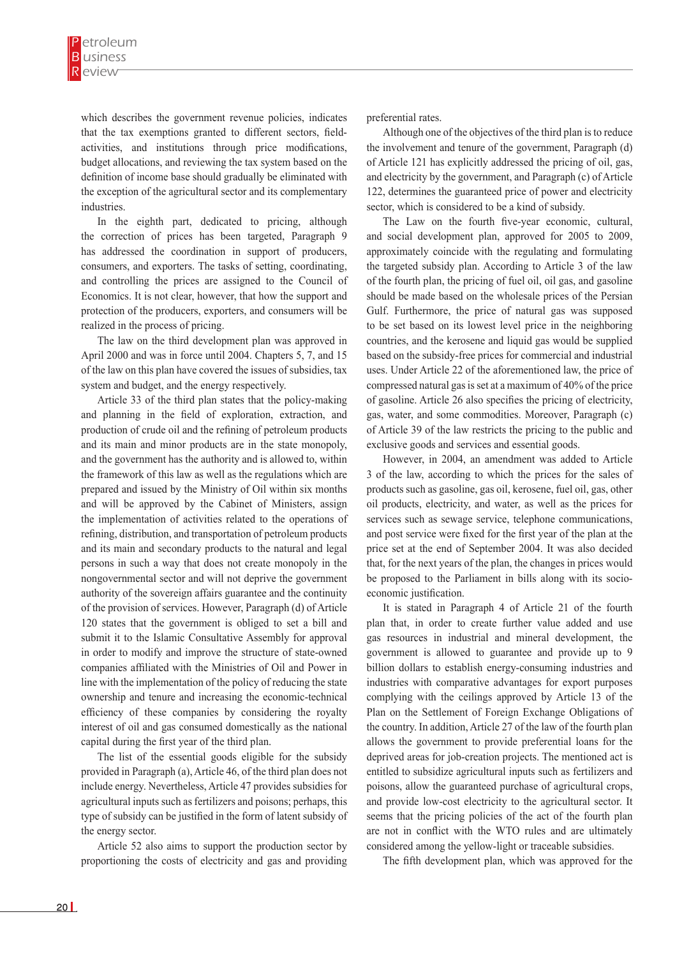which describes the government revenue policies, indicates that the tax exemptions granted to different sectors, fieldactivities, and institutions through price modifications, budget allocations, and reviewing the tax system based on the definition of income base should gradually be eliminated with the exception of the agricultural sector and its complementary industries.

In the eighth part, dedicated to pricing, although the correction of prices has been targeted, Paragraph 9 has addressed the coordination in support of producers, consumers, and exporters. The tasks of setting, coordinating, and controlling the prices are assigned to the Council of Economics. It is not clear, however, that how the support and protection of the producers, exporters, and consumers will be realized in the process of pricing.

The law on the third development plan was approved in April 2000 and was in force until 2004. Chapters 5, 7, and 15 of the law on this plan have covered the issues of subsidies, tax system and budget, and the energy respectively.

Article 33 of the third plan states that the policy-making and planning in the field of exploration, extraction, and production of crude oil and the refining of petroleum products and its main and minor products are in the state monopoly, and the government has the authority and is allowed to, within the framework of this law as well as the regulations which are prepared and issued by the Ministry of Oil within six months and will be approved by the Cabinet of Ministers, assign the implementation of activities related to the operations of refining, distribution, and transportation of petroleum products and its main and secondary products to the natural and legal persons in such a way that does not create monopoly in the nongovernmental sector and will not deprive the government authority of the sovereign affairs guarantee and the continuity of the provision of services. However, Paragraph (d) of Article 120 states that the government is obliged to set a bill and submit it to the Islamic Consultative Assembly for approval in order to modify and improve the structure of state-owned companies affiliated with the Ministries of Oil and Power in line with the implementation of the policy of reducing the state ownership and tenure and increasing the economic-technical efficiency of these companies by considering the royalty interest of oil and gas consumed domestically as the national capital during the first year of the third plan.

The list of the essential goods eligible for the subsidy provided in Paragraph (a), Article 46, of the third plan does not include energy. Nevertheless, Article 47 provides subsidies for agricultural inputs such as fertilizers and poisons; perhaps, this type of subsidy can be justified in the form of latent subsidy of the energy sector.

Article 52 also aims to support the production sector by proportioning the costs of electricity and gas and providing preferential rates.

Although one of the objectives of the third plan is to reduce the involvement and tenure of the government, Paragraph (d) of Article 121 has explicitly addressed the pricing of oil, gas, and electricity by the government, and Paragraph (c) of Article 122, determines the guaranteed price of power and electricity sector, which is considered to be a kind of subsidy.

The Law on the fourth five-year economic, cultural, and social development plan, approved for 2005 to 2009, approximately coincide with the regulating and formulating the targeted subsidy plan. According to Article 3 of the law of the fourth plan, the pricing of fuel oil, oil gas, and gasoline should be made based on the wholesale prices of the Persian Gulf. Furthermore, the price of natural gas was supposed to be set based on its lowest level price in the neighboring countries, and the kerosene and liquid gas would be supplied based on the subsidy-free prices for commercial and industrial uses. Under Article 22 of the aforementioned law, the price of compressed natural gas is set at a maximum of 40% of the price of gasoline. Article 26 also specifies the pricing of electricity, gas, water, and some commodities. Moreover, Paragraph (c) of Article 39 of the law restricts the pricing to the public and exclusive goods and services and essential goods.

However, in 2004, an amendment was added to Article 3 of the law, according to which the prices for the sales of products such as gasoline, gas oil, kerosene, fuel oil, gas, other oil products, electricity, and water, as well as the prices for services such as sewage service, telephone communications, and post service were fixed for the first year of the plan at the price set at the end of September 2004. It was also decided that, for the next years of the plan, the changes in prices would be proposed to the Parliament in bills along with its socioeconomic justification.

It is stated in Paragraph 4 of Article 21 of the fourth plan that, in order to create further value added and use gas resources in industrial and mineral development, the government is allowed to guarantee and provide up to 9 billion dollars to establish energy-consuming industries and industries with comparative advantages for export purposes complying with the ceilings approved by Article 13 of the Plan on the Settlement of Foreign Exchange Obligations of the country. In addition, Article 27 of the law of the fourth plan allows the government to provide preferential loans for the deprived areas for job-creation projects. The mentioned act is entitled to subsidize agricultural inputs such as fertilizers and poisons, allow the guaranteed purchase of agricultural crops, and provide low-cost electricity to the agricultural sector. It seems that the pricing policies of the act of the fourth plan are not in conflict with the WTO rules and are ultimately considered among the yellow-light or traceable subsidies.

The fifth development plan, which was approved for the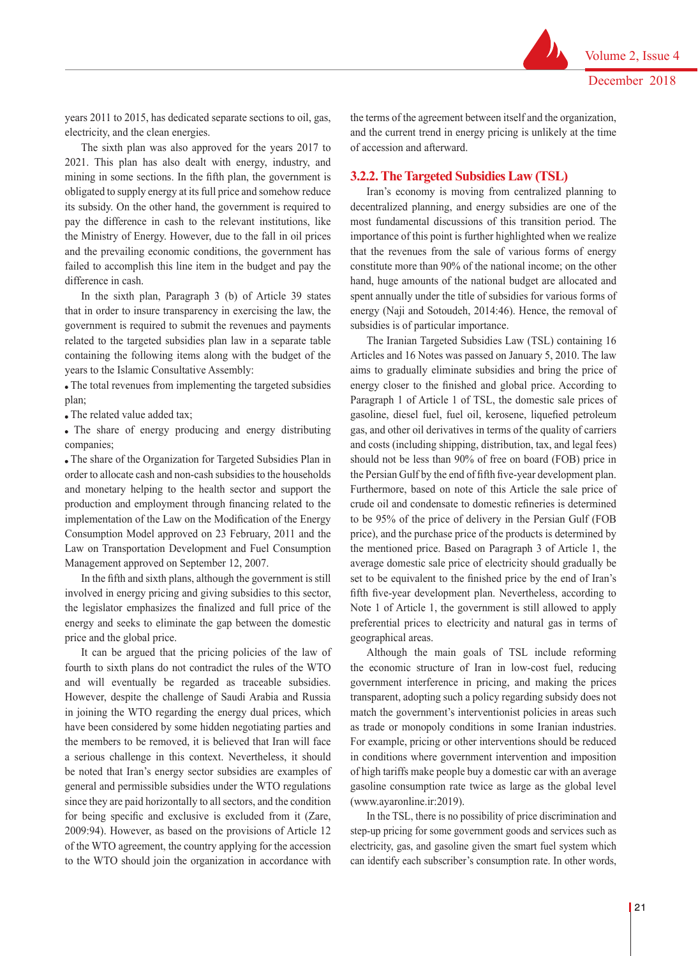years 2011 to 2015, has dedicated separate sections to oil, gas, electricity, and the clean energies.

The sixth plan was also approved for the years 2017 to 2021. This plan has also dealt with energy, industry, and mining in some sections. In the fifth plan, the government is obligated to supply energy at its full price and somehow reduce its subsidy. On the other hand, the government is required to pay the difference in cash to the relevant institutions, like the Ministry of Energy. However, due to the fall in oil prices and the prevailing economic conditions, the government has failed to accomplish this line item in the budget and pay the difference in cash.

In the sixth plan, Paragraph 3 (b) of Article 39 states that in order to insure transparency in exercising the law, the government is required to submit the revenues and payments related to the targeted subsidies plan law in a separate table containing the following items along with the budget of the years to the Islamic Consultative Assembly:

 The total revenues from implementing the targeted subsidies plan;

The related value added tax;

 The share of energy producing and energy distributing companies;

 The share of the Organization for Targeted Subsidies Plan in order to allocate cash and non-cash subsidies to the households and monetary helping to the health sector and support the production and employment through financing related to the implementation of the Law on the Modification of the Energy Consumption Model approved on 23 February, 2011 and the Law on Transportation Development and Fuel Consumption Management approved on September 12, 2007.

In the fifth and sixth plans, although the government is still involved in energy pricing and giving subsidies to this sector, the legislator emphasizes the finalized and full price of the energy and seeks to eliminate the gap between the domestic price and the global price.

It can be argued that the pricing policies of the law of fourth to sixth plans do not contradict the rules of the WTO and will eventually be regarded as traceable subsidies. However, despite the challenge of Saudi Arabia and Russia in joining the WTO regarding the energy dual prices, which have been considered by some hidden negotiating parties and the members to be removed, it is believed that Iran will face a serious challenge in this context. Nevertheless, it should be noted that Iran's energy sector subsidies are examples of general and permissible subsidies under the WTO regulations since they are paid horizontally to all sectors, and the condition for being specific and exclusive is excluded from it (Zare, 2009:94). However, as based on the provisions of Article 12 of the WTO agreement, the country applying for the accession to the WTO should join the organization in accordance with

the terms of the agreement between itself and the organization, and the current trend in energy pricing is unlikely at the time of accession and afterward.

### **3.2.2. The Targeted Subsidies Law (TSL)**

Iran's economy is moving from centralized planning to decentralized planning, and energy subsidies are one of the most fundamental discussions of this transition period. The importance of this point is further highlighted when we realize that the revenues from the sale of various forms of energy constitute more than 90% of the national income; on the other hand, huge amounts of the national budget are allocated and spent annually under the title of subsidies for various forms of energy (Naji and Sotoudeh, 2014:46). Hence, the removal of subsidies is of particular importance.

The Iranian Targeted Subsidies Law (TSL) containing 16 Articles and 16 Notes was passed on January 5, 2010. The law aims to gradually eliminate subsidies and bring the price of energy closer to the finished and global price. According to Paragraph 1 of Article 1 of TSL, the domestic sale prices of gasoline, diesel fuel, fuel oil, kerosene, liquefied petroleum gas, and other oil derivatives in terms of the quality of carriers and costs (including shipping, distribution, tax, and legal fees) should not be less than 90% of free on board (FOB) price in the Persian Gulf by the end of fifth five-year development plan. Furthermore, based on note of this Article the sale price of crude oil and condensate to domestic refineries is determined to be 95% of the price of delivery in the Persian Gulf (FOB price), and the purchase price of the products is determined by the mentioned price. Based on Paragraph 3 of Article 1, the average domestic sale price of electricity should gradually be set to be equivalent to the finished price by the end of Iran's fifth five-year development plan. Nevertheless, according to Note 1 of Article 1, the government is still allowed to apply preferential prices to electricity and natural gas in terms of geographical areas.

Although the main goals of TSL include reforming the economic structure of Iran in low-cost fuel, reducing government interference in pricing, and making the prices transparent, adopting such a policy regarding subsidy does not match the government's interventionist policies in areas such as trade or monopoly conditions in some Iranian industries. For example, pricing or other interventions should be reduced in conditions where government intervention and imposition of high tariffs make people buy a domestic car with an average gasoline consumption rate twice as large as the global level (www.ayaronline.ir:2019).

In the TSL, there is no possibility of price discrimination and step-up pricing for some government goods and services such as electricity, gas, and gasoline given the smart fuel system which can identify each subscriber's consumption rate. In other words,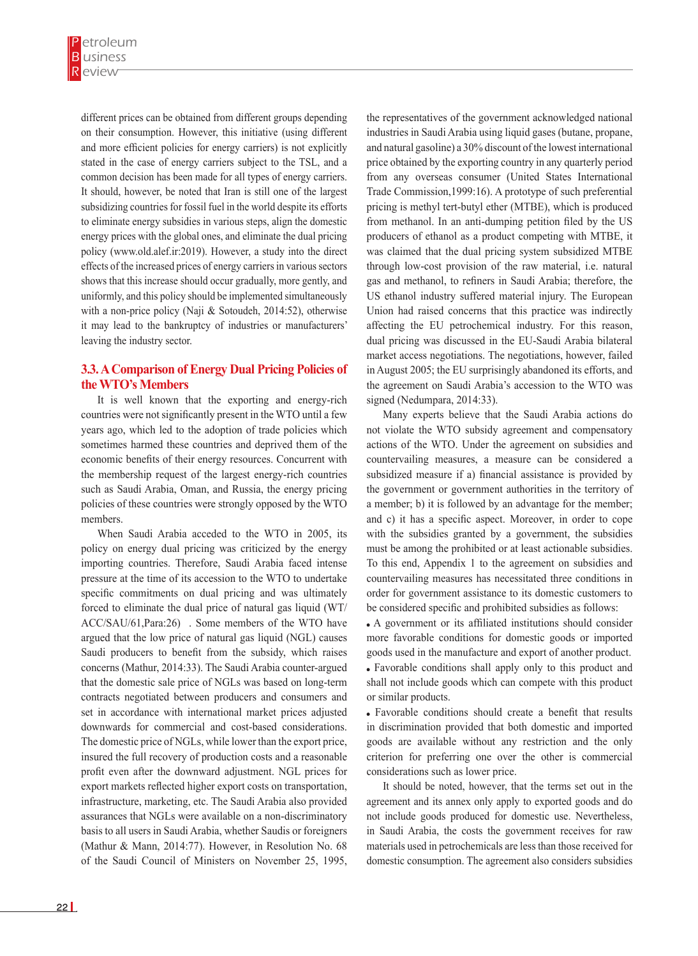different prices can be obtained from different groups depending on their consumption. However, this initiative (using different and more efficient policies for energy carriers) is not explicitly stated in the case of energy carriers subject to the TSL, and a common decision has been made for all types of energy carriers. It should, however, be noted that Iran is still one of the largest subsidizing countries for fossil fuel in the world despite its efforts to eliminate energy subsidies in various steps, align the domestic energy prices with the global ones, and eliminate the dual pricing policy (www.old.alef.ir:2019). However, a study into the direct effects of the increased prices of energy carriers in various sectors shows that this increase should occur gradually, more gently, and uniformly, and this policy should be implemented simultaneously with a non-price policy (Naji & Sotoudeh, 2014:52), otherwise it may lead to the bankruptcy of industries or manufacturers' leaving the industry sector.

## **3.3. A Comparison of Energy Dual Pricing Policies of the WTO's Members**

It is well known that the exporting and energy-rich countries were not significantly present in the WTO until a few years ago, which led to the adoption of trade policies which sometimes harmed these countries and deprived them of the economic benefits of their energy resources. Concurrent with the membership request of the largest energy-rich countries such as Saudi Arabia, Oman, and Russia, the energy pricing policies of these countries were strongly opposed by the WTO members.

When Saudi Arabia acceded to the WTO in 2005, its policy on energy dual pricing was criticized by the energy importing countries. Therefore, Saudi Arabia faced intense pressure at the time of its accession to the WTO to undertake specific commitments on dual pricing and was ultimately forced to eliminate the dual price of natural gas liquid (WT/ ACC/SAU/61,Para:26) . Some members of the WTO have argued that the low price of natural gas liquid (NGL) causes Saudi producers to benefit from the subsidy, which raises concerns (Mathur, 2014:33). The Saudi Arabia counter-argued that the domestic sale price of NGLs was based on long-term contracts negotiated between producers and consumers and set in accordance with international market prices adjusted downwards for commercial and cost-based considerations. The domestic price of NGLs, while lower than the export price, insured the full recovery of production costs and a reasonable profit even after the downward adjustment. NGL prices for export markets reflected higher export costs on transportation, infrastructure, marketing, etc. The Saudi Arabia also provided assurances that NGLs were available on a non-discriminatory basis to all users in Saudi Arabia, whether Saudis or foreigners (Mathur & Mann, 2014:77). However, in Resolution No. 68 of the Saudi Council of Ministers on November 25, 1995,

the representatives of the government acknowledged national industries in Saudi Arabia using liquid gases (butane, propane, and natural gasoline) a 30% discount of the lowest international price obtained by the exporting country in any quarterly period from any overseas consumer (United States International Trade Commission,1999:16). A prototype of such preferential pricing is methyl tert-butyl ether (MTBE), which is produced from methanol. In an anti-dumping petition filed by the US producers of ethanol as a product competing with MTBE, it was claimed that the dual pricing system subsidized MTBE through low-cost provision of the raw material, i.e. natural gas and methanol, to refiners in Saudi Arabia; therefore, the US ethanol industry suffered material injury. The European Union had raised concerns that this practice was indirectly affecting the EU petrochemical industry. For this reason, dual pricing was discussed in the EU-Saudi Arabia bilateral market access negotiations. The negotiations, however, failed in August 2005; the EU surprisingly abandoned its efforts, and the agreement on Saudi Arabia's accession to the WTO was signed (Nedumpara, 2014:33).

Many experts believe that the Saudi Arabia actions do not violate the WTO subsidy agreement and compensatory actions of the WTO. Under the agreement on subsidies and countervailing measures, a measure can be considered a subsidized measure if a) financial assistance is provided by the government or government authorities in the territory of a member; b) it is followed by an advantage for the member; and c) it has a specific aspect. Moreover, in order to cope with the subsidies granted by a government, the subsidies must be among the prohibited or at least actionable subsidies. To this end, Appendix 1 to the agreement on subsidies and countervailing measures has necessitated three conditions in order for government assistance to its domestic customers to be considered specific and prohibited subsidies as follows:

 A government or its affiliated institutions should consider more favorable conditions for domestic goods or imported goods used in the manufacture and export of another product. Favorable conditions shall apply only to this product and shall not include goods which can compete with this product or similar products.

 Favorable conditions should create a benefit that results in discrimination provided that both domestic and imported goods are available without any restriction and the only criterion for preferring one over the other is commercial considerations such as lower price.

It should be noted, however, that the terms set out in the agreement and its annex only apply to exported goods and do not include goods produced for domestic use. Nevertheless, in Saudi Arabia, the costs the government receives for raw materials used in petrochemicals are less than those received for domestic consumption. The agreement also considers subsidies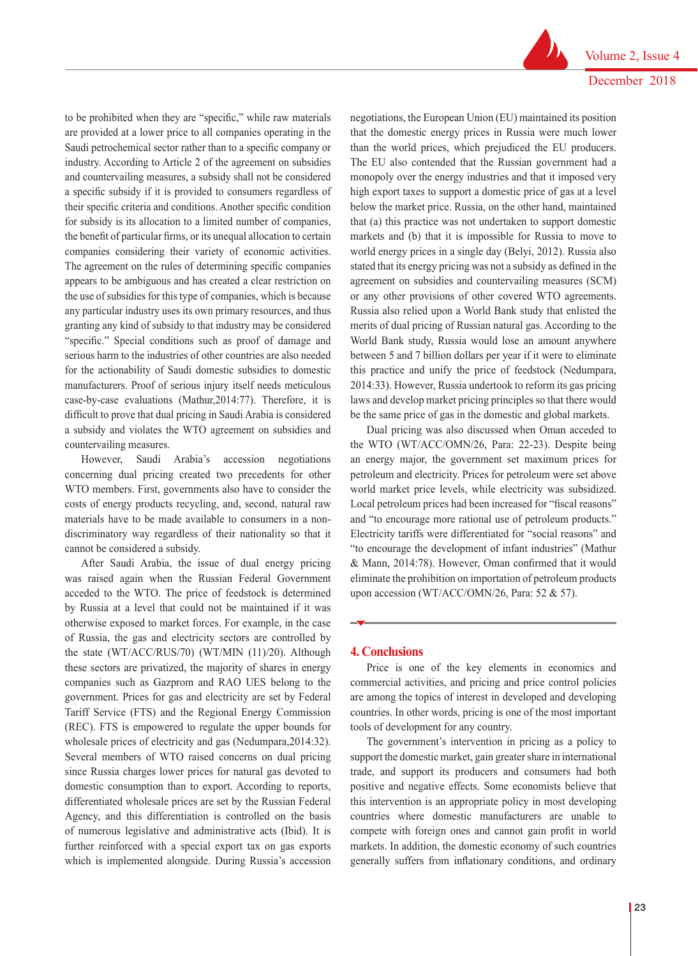Volume 2, Issue 4 December 2018

to be prohibited when they are "specific," while raw materials are provided at a lower price to all companies operating in the Saudi petrochemical sector rather than to a specific company or industry. According to Article 2 of the agreement on subsidies and countervailing measures, a subsidy shall not be considered a specific subsidy if it is provided to consumers regardless of their specific criteria and conditions. Another specific condition for subsidy is its allocation to a limited number of companies, the benefit of particular firms, or its unequal allocation to certain companies considering their variety of economic activities. The agreement on the rules of determining specific companies appears to be ambiguous and has created a clear restriction on the use of subsidies for this type of companies, which is because any particular industry uses its own primary resources, and thus granting any kind of subsidy to that industry may be considered "specific." Special conditions such as proof of damage and serious harm to the industries of other countries are also needed for the actionability of Saudi domestic subsidies to domestic manufacturers. Proof of serious injury itself needs meticulous case-by-case evaluations (Mathur,2014:77). Therefore, it is difficult to prove that dual pricing in Saudi Arabia is considered a subsidy and violates the WTO agreement on subsidies and countervailing measures.

However, Saudi Arabia's accession negotiations concerning dual pricing created two precedents for other WTO members. First, governments also have to consider the costs of energy products recycling, and, second, natural raw materials have to be made available to consumers in a nondiscriminatory way regardless of their nationality so that it cannot be considered a subsidy.

After Saudi Arabia, the issue of dual energy pricing was raised again when the Russian Federal Government acceded to the WTO. The price of feedstock is determined by Russia at a level that could not be maintained if it was otherwise exposed to market forces. For example, in the case of Russia, the gas and electricity sectors are controlled by the state (WT/ACC/RUS/70) (WT/MIN (11)/20). Although these sectors are privatized, the majority of shares in energy companies such as Gazprom and RAO UES belong to the government. Prices for gas and electricity are set by Federal Tariff Service (FTS) and the Regional Energy Commission (REC). FTS is empowered to regulate the upper bounds for wholesale prices of electricity and gas (Nedumpara,2014:32). Several members of WTO raised concerns on dual pricing since Russia charges lower prices for natural gas devoted to domestic consumption than to export. According to reports, differentiated wholesale prices are set by the Russian Federal Agency, and this differentiation is controlled on the basis of numerous legislative and administrative acts (Ibid). It is further reinforced with a special export tax on gas exports which is implemented alongside. During Russia's accession

negotiations, the European Union (EU) maintained its position that the domestic energy prices in Russia were much lower than the world prices, which prejudiced the EU producers. The EU also contended that the Russian government had a monopoly over the energy industries and that it imposed very high export taxes to support a domestic price of gas at a level below the market price. Russia, on the other hand, maintained that (a) this practice was not undertaken to support domestic markets and (b) that it is impossible for Russia to move to world energy prices in a single day (Belyi, 2012). Russia also stated that its energy pricing was not a subsidy as defined in the agreement on subsidies and countervailing measures (SCM) or any other provisions of other covered WTO agreements. Russia also relied upon a World Bank study that enlisted the merits of dual pricing of Russian natural gas. According to the World Bank study, Russia would lose an amount anywhere between 5 and 7 billion dollars per year if it were to eliminate this practice and unify the price of feedstock (Nedumpara, 2014:33). However, Russia undertook to reform its gas pricing laws and develop market pricing principles so that there would be the same price of gas in the domestic and global markets.

Dual pricing was also discussed when Oman acceded to the WTO (WT/ACC/OMN/26, Para: 22-23). Despite being an energy major, the government set maximum prices for petroleum and electricity. Prices for petroleum were set above world market price levels, while electricity was subsidized. Local petroleum prices had been increased for "fiscal reasons" and "to encourage more rational use of petroleum products." Electricity tariffs were differentiated for "social reasons" and "to encourage the development of infant industries" (Mathur & Mann, 2014:78). However, Oman confirmed that it would eliminate the prohibition on importation of petroleum products upon accession (WT/ACC/OMN/26, Para: 52 & 57).

#### **4. Conclusions**

Price is one of the key elements in economics and commercial activities, and pricing and price control policies are among the topics of interest in developed and developing countries. In other words, pricing is one of the most important tools of development for any country.

The government's intervention in pricing as a policy to support the domestic market, gain greater share in international trade, and support its producers and consumers had both positive and negative effects. Some economists believe that this intervention is an appropriate policy in most developing countries where domestic manufacturers are unable to compete with foreign ones and cannot gain profit in world markets. In addition, the domestic economy of such countries generally suffers from inflationary conditions, and ordinary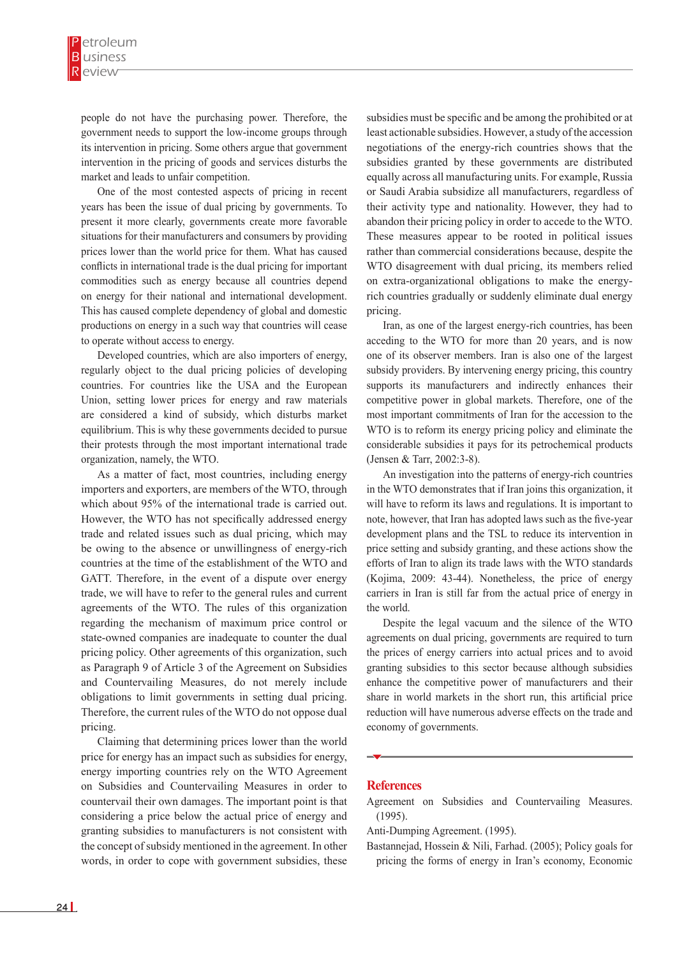people do not have the purchasing power. Therefore, the government needs to support the low-income groups through its intervention in pricing. Some others argue that government intervention in the pricing of goods and services disturbs the market and leads to unfair competition.

One of the most contested aspects of pricing in recent years has been the issue of dual pricing by governments. To present it more clearly, governments create more favorable situations for their manufacturers and consumers by providing prices lower than the world price for them. What has caused conflicts in international trade is the dual pricing for important commodities such as energy because all countries depend on energy for their national and international development. This has caused complete dependency of global and domestic productions on energy in a such way that countries will cease to operate without access to energy.

Developed countries, which are also importers of energy, regularly object to the dual pricing policies of developing countries. For countries like the USA and the European Union, setting lower prices for energy and raw materials are considered a kind of subsidy, which disturbs market equilibrium. This is why these governments decided to pursue their protests through the most important international trade organization, namely, the WTO.

As a matter of fact, most countries, including energy importers and exporters, are members of the WTO, through which about 95% of the international trade is carried out. However, the WTO has not specifically addressed energy trade and related issues such as dual pricing, which may be owing to the absence or unwillingness of energy-rich countries at the time of the establishment of the WTO and GATT. Therefore, in the event of a dispute over energy trade, we will have to refer to the general rules and current agreements of the WTO. The rules of this organization regarding the mechanism of maximum price control or state-owned companies are inadequate to counter the dual pricing policy. Other agreements of this organization, such as Paragraph 9 of Article 3 of the Agreement on Subsidies and Countervailing Measures, do not merely include obligations to limit governments in setting dual pricing. Therefore, the current rules of the WTO do not oppose dual pricing.

Claiming that determining prices lower than the world price for energy has an impact such as subsidies for energy, energy importing countries rely on the WTO Agreement on Subsidies and Countervailing Measures in order to countervail their own damages. The important point is that considering a price below the actual price of energy and granting subsidies to manufacturers is not consistent with the concept of subsidy mentioned in the agreement. In other words, in order to cope with government subsidies, these subsidies must be specific and be among the prohibited or at least actionable subsidies. However, a study of the accession negotiations of the energy-rich countries shows that the subsidies granted by these governments are distributed equally across all manufacturing units. For example, Russia or Saudi Arabia subsidize all manufacturers, regardless of their activity type and nationality. However, they had to abandon their pricing policy in order to accede to the WTO. These measures appear to be rooted in political issues rather than commercial considerations because, despite the WTO disagreement with dual pricing, its members relied on extra-organizational obligations to make the energyrich countries gradually or suddenly eliminate dual energy pricing.

Iran, as one of the largest energy-rich countries, has been acceding to the WTO for more than 20 years, and is now one of its observer members. Iran is also one of the largest subsidy providers. By intervening energy pricing, this country supports its manufacturers and indirectly enhances their competitive power in global markets. Therefore, one of the most important commitments of Iran for the accession to the WTO is to reform its energy pricing policy and eliminate the considerable subsidies it pays for its petrochemical products (Jensen & Tarr, 2002:3-8).

An investigation into the patterns of energy-rich countries in the WTO demonstrates that if Iran joins this organization, it will have to reform its laws and regulations. It is important to note, however, that Iran has adopted laws such as the five-year development plans and the TSL to reduce its intervention in price setting and subsidy granting, and these actions show the efforts of Iran to align its trade laws with the WTO standards (Kojima, 2009: 43-44). Nonetheless, the price of energy carriers in Iran is still far from the actual price of energy in the world.

Despite the legal vacuum and the silence of the WTO agreements on dual pricing, governments are required to turn the prices of energy carriers into actual prices and to avoid granting subsidies to this sector because although subsidies enhance the competitive power of manufacturers and their share in world markets in the short run, this artificial price reduction will have numerous adverse effects on the trade and economy of governments.

#### **References**

Agreement on Subsidies and Countervailing Measures. (1995).

Anti-Dumping Agreement. (1995).

Bastannejad, Hossein & Nili, Farhad. (2005); Policy goals for pricing the forms of energy in Iran's economy, Economic